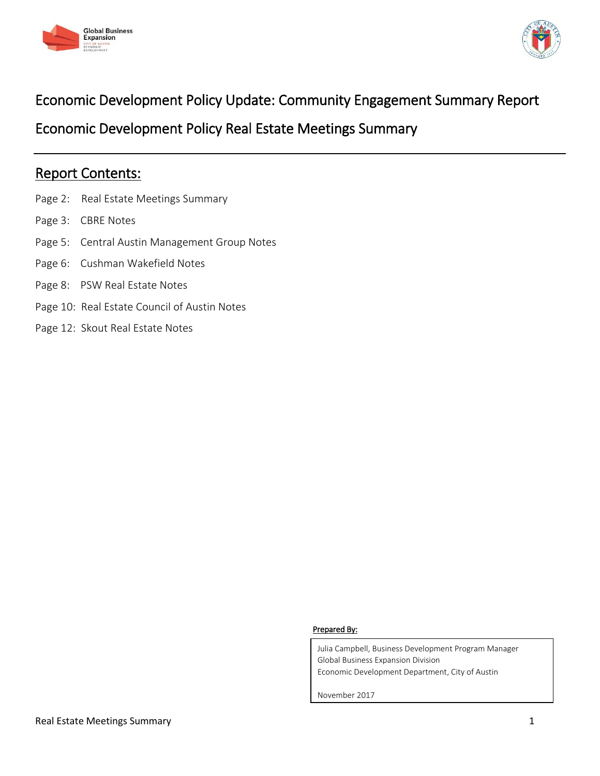



# Economic Development Policy Update: Community Engagement Summary Report

Economic Development Policy Real Estate Meetings Summary

# Report Contents:

- Page 2: Real Estate Meetings Summary
- Page 3: CBRE Notes
- Page 5: Central Austin Management Group Notes
- Page 6: Cushman Wakefield Notes
- Page 8: PSW Real Estate Notes
- Page 10: Real Estate Council of Austin Notes
- Page 12: Skout Real Estate Notes

#### Prepared By:

Julia Campbell, Business Development Program Manager Global Business Expansion Division Economic Development Department, City of Austin

November 2017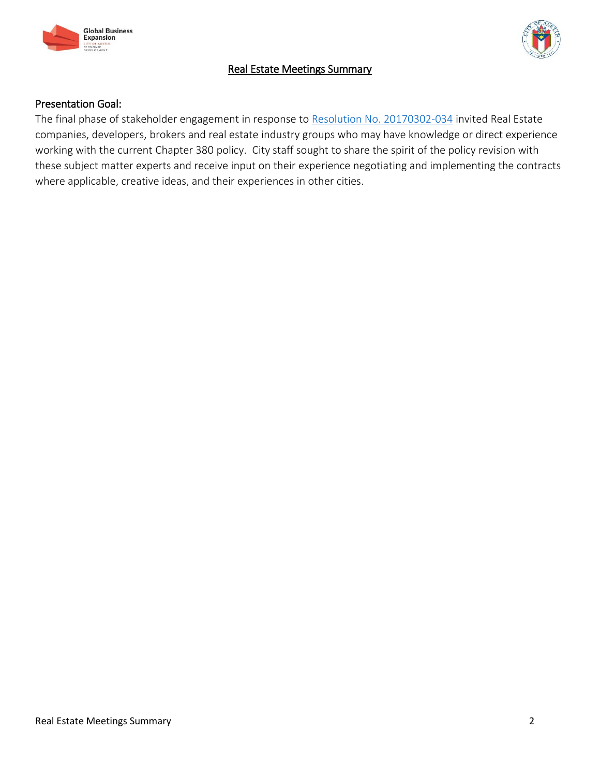



# Real Estate Meetings Summary

## Presentation Goal:

The final phase of stakeholder engagement in response to [Resolution No. 20170302-034](http://www.austintexas.gov/edims/document.cfm?id=272895) invited Real Estate companies, developers, brokers and real estate industry groups who may have knowledge or direct experience working with the current Chapter 380 policy. City staff sought to share the spirit of the policy revision with these subject matter experts and receive input on their experience negotiating and implementing the contracts where applicable, creative ideas, and their experiences in other cities.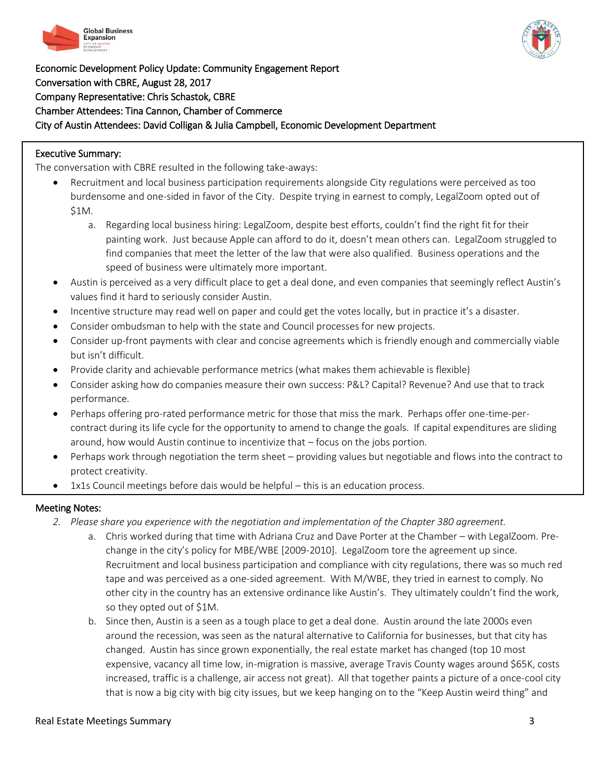



Economic Development Policy Update: Community Engagement Report Conversation with CBRE, August 28, 2017 Company Representative: Chris Schastok, CBRE Chamber Attendees: Tina Cannon, Chamber of Commerce City of Austin Attendees: David Colligan & Julia Campbell, Economic Development Department

#### Executive Summary:

 $\overline{a}$ 

The conversation with CBRE resulted in the following take-aways:

- Recruitment and local business participation requirements alongside City regulations were perceived as too burdensome and one-sided in favor of the City. Despite trying in earnest to comply, LegalZoom opted out of \$1M.
	- a. Regarding local business hiring: LegalZoom, despite best efforts, couldn't find the right fit for their painting work. Just because Apple can afford to do it, doesn't mean others can. LegalZoom struggled to find companies that meet the letter of the law that were also qualified. Business operations and the speed of business were ultimately more important.
- Austin is perceived as a very difficult place to get a deal done, and even companies that seemingly reflect Austin's values find it hard to seriously consider Austin.
- Incentive structure may read well on paper and could get the votes locally, but in practice it's a disaster.
- Consider ombudsman to help with the state and Council processes for new projects.
- Consider up-front payments with clear and concise agreements which is friendly enough and commercially viable but isn't difficult.
- Provide clarity and achievable performance metrics (what makes them achievable is flexible)
- Consider asking how do companies measure their own success: P&L? Capital? Revenue? And use that to track performance.
- Perhaps offering pro-rated performance metric for those that miss the mark. Perhaps offer one-time-percontract during its life cycle for the opportunity to amend to change the goals. If capital expenditures are sliding around, how would Austin continue to incentivize that – focus on the jobs portion.
- Perhaps work through negotiation the term sheet providing values but negotiable and flows into the contract to protect creativity.
- 1x1s Council meetings before dais would be helpful this is an education process.

- *2. Please share you experience with the negotiation and implementation of the Chapter 380 agreement.*
	- a. Chris worked during that time with Adriana Cruz and Dave Porter at the Chamber with LegalZoom. Prechange in the city's policy for MBE/WBE [2009-2010]. LegalZoom tore the agreement up since. Recruitment and local business participation and compliance with city regulations, there was so much red tape and was perceived as a one-sided agreement. With M/WBE, they tried in earnest to comply. No other city in the country has an extensive ordinance like Austin's. They ultimately couldn't find the work, so they opted out of \$1M.
	- b. Since then, Austin is a seen as a tough place to get a deal done. Austin around the late 2000s even around the recession, was seen as the natural alternative to California for businesses, but that city has changed. Austin has since grown exponentially, the real estate market has changed (top 10 most expensive, vacancy all time low, in-migration is massive, average Travis County wages around \$65K, costs increased, traffic is a challenge, air access not great). All that together paints a picture of a once-cool city that is now a big city with big city issues, but we keep hanging on to the "Keep Austin weird thing" and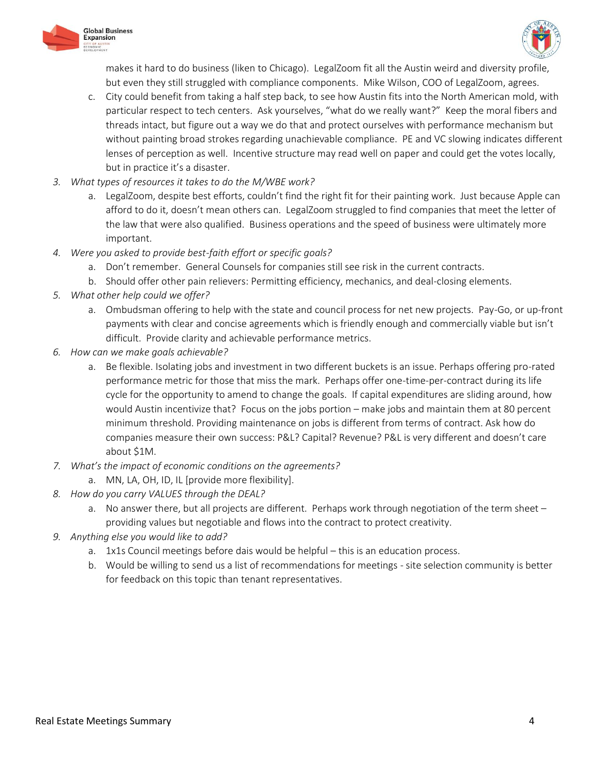



makes it hard to do business (liken to Chicago). LegalZoom fit all the Austin weird and diversity profile, but even they still struggled with compliance components. Mike Wilson, COO of LegalZoom, agrees.

- c. City could benefit from taking a half step back, to see how Austin fits into the North American mold, with particular respect to tech centers. Ask yourselves, "what do we really want?" Keep the moral fibers and threads intact, but figure out a way we do that and protect ourselves with performance mechanism but without painting broad strokes regarding unachievable compliance. PE and VC slowing indicates different lenses of perception as well. Incentive structure may read well on paper and could get the votes locally, but in practice it's a disaster.
- *3. What types of resources it takes to do the M/WBE work?*
	- a. LegalZoom, despite best efforts, couldn't find the right fit for their painting work. Just because Apple can afford to do it, doesn't mean others can. LegalZoom struggled to find companies that meet the letter of the law that were also qualified. Business operations and the speed of business were ultimately more important.
- *4. Were you asked to provide best-faith effort or specific goals?*
	- a. Don't remember. General Counsels for companies still see risk in the current contracts.
	- b. Should offer other pain relievers: Permitting efficiency, mechanics, and deal-closing elements.
- *5. What other help could we offer?*
	- a. Ombudsman offering to help with the state and council process for net new projects. Pay-Go, or up-front payments with clear and concise agreements which is friendly enough and commercially viable but isn't difficult. Provide clarity and achievable performance metrics.
- *6. How can we make goals achievable?*
	- a. Be flexible. Isolating jobs and investment in two different buckets is an issue. Perhaps offering pro-rated performance metric for those that miss the mark. Perhaps offer one-time-per-contract during its life cycle for the opportunity to amend to change the goals. If capital expenditures are sliding around, how would Austin incentivize that? Focus on the jobs portion – make jobs and maintain them at 80 percent minimum threshold. Providing maintenance on jobs is different from terms of contract. Ask how do companies measure their own success: P&L? Capital? Revenue? P&L is very different and doesn't care about \$1M.
- *7. What's the impact of economic conditions on the agreements?* 
	- a. MN, LA, OH, ID, IL [provide more flexibility].
- *8. How do you carry VALUES through the DEAL?*
	- a. No answer there, but all projects are different. Perhaps work through negotiation of the term sheet providing values but negotiable and flows into the contract to protect creativity.
- *9. Anything else you would like to add?* 
	- a. 1x1s Council meetings before dais would be helpful this is an education process.
	- b. Would be willing to send us a list of recommendations for meetings site selection community is better for feedback on this topic than tenant representatives.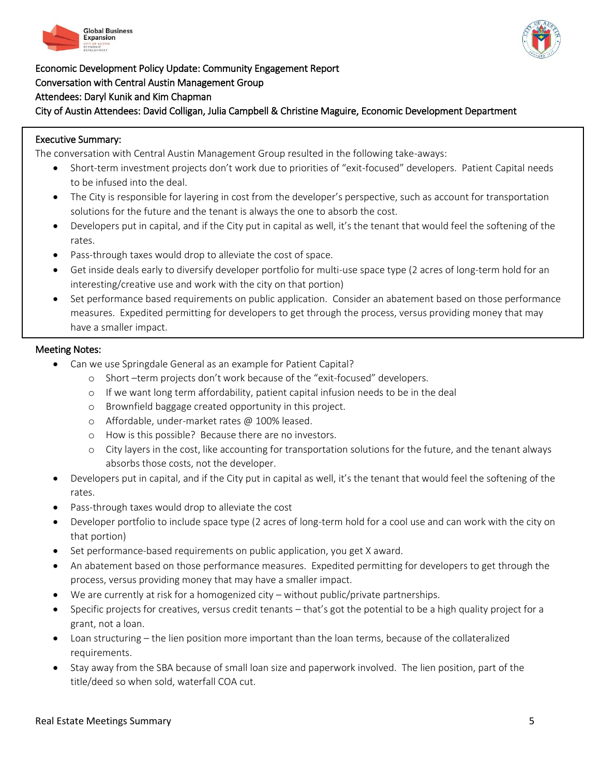



Economic Development Policy Update: Community Engagement Report Conversation with Central Austin Management Group Attendees: Daryl Kunik and Kim Chapman City of Austin Attendees: David Colligan, Julia Campbell & Christine Maguire, Economic Development Department

## Executive Summary:

 $\overline{a}$ 

The conversation with Central Austin Management Group resulted in the following take-aways:

- Short-term investment projects don't work due to priorities of "exit-focused" developers. Patient Capital needs to be infused into the deal.
- The City is responsible for layering in cost from the developer's perspective, such as account for transportation solutions for the future and the tenant is always the one to absorb the cost.
- Developers put in capital, and if the City put in capital as well, it's the tenant that would feel the softening of the rates.
- Pass-through taxes would drop to alleviate the cost of space.
- Get inside deals early to diversify developer portfolio for multi-use space type (2 acres of long-term hold for an interesting/creative use and work with the city on that portion)
- Set performance based requirements on public application. Consider an abatement based on those performance measures. Expedited permitting for developers to get through the process, versus providing money that may have a smaller impact.

- Can we use Springdale General as an example for Patient Capital?
	- o Short –term projects don't work because of the "exit-focused" developers.
	- o If we want long term affordability, patient capital infusion needs to be in the deal
	- o Brownfield baggage created opportunity in this project.
	- o Affordable, under-market rates @ 100% leased.
	- o How is this possible? Because there are no investors.
	- o City layers in the cost, like accounting for transportation solutions for the future, and the tenant always absorbs those costs, not the developer.
- Developers put in capital, and if the City put in capital as well, it's the tenant that would feel the softening of the rates.
- Pass-through taxes would drop to alleviate the cost
- Developer portfolio to include space type (2 acres of long-term hold for a cool use and can work with the city on that portion)
- Set performance-based requirements on public application, you get X award.
- An abatement based on those performance measures. Expedited permitting for developers to get through the process, versus providing money that may have a smaller impact.
- We are currently at risk for a homogenized city without public/private partnerships.
- Specific projects for creatives, versus credit tenants that's got the potential to be a high quality project for a grant, not a loan.
- Loan structuring the lien position more important than the loan terms, because of the collateralized requirements.
- Stay away from the SBA because of small loan size and paperwork involved. The lien position, part of the title/deed so when sold, waterfall COA cut.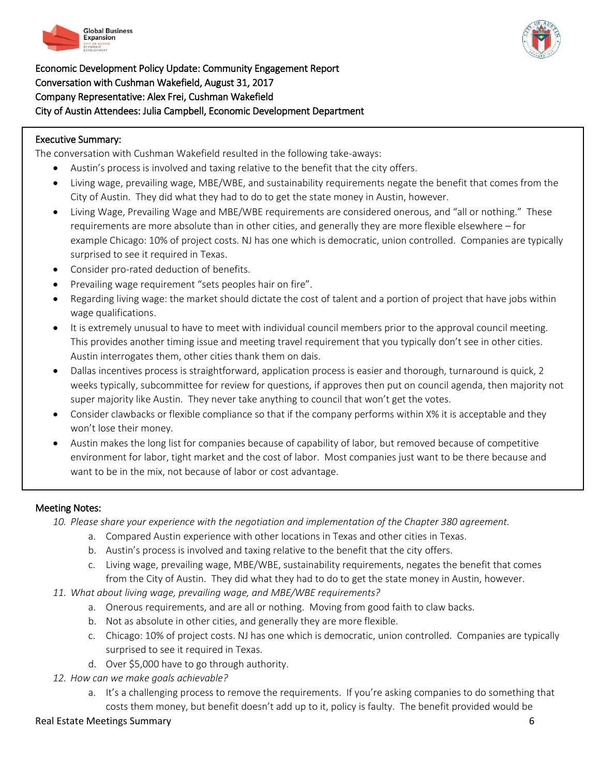



Economic Development Policy Update: Community Engagement Report Conversation with Cushman Wakefield, August 31, 2017 Company Representative: Alex Frei, Cushman Wakefield City of Austin Attendees: Julia Campbell, Economic Development Department

## Executive Summary:

 $\overline{a}$ 

The conversation with Cushman Wakefield resulted in the following take-aways:

- Austin's process is involved and taxing relative to the benefit that the city offers.
- Living wage, prevailing wage, MBE/WBE, and sustainability requirements negate the benefit that comes from the City of Austin. They did what they had to do to get the state money in Austin, however.
- Living Wage, Prevailing Wage and MBE/WBE requirements are considered onerous, and "all or nothing." These requirements are more absolute than in other cities, and generally they are more flexible elsewhere – for example Chicago: 10% of project costs. NJ has one which is democratic, union controlled. Companies are typically surprised to see it required in Texas.
- Consider pro-rated deduction of benefits.
- Prevailing wage requirement "sets peoples hair on fire".
- Regarding living wage: the market should dictate the cost of talent and a portion of project that have jobs within wage qualifications.
- It is extremely unusual to have to meet with individual council members prior to the approval council meeting. This provides another timing issue and meeting travel requirement that you typically don't see in other cities. Austin interrogates them, other cities thank them on dais.
- Dallas incentives process is straightforward, application process is easier and thorough, turnaround is quick, 2 weeks typically, subcommittee for review for questions, if approves then put on council agenda, then majority not super majority like Austin. They never take anything to council that won't get the votes.
- Consider clawbacks or flexible compliance so that if the company performs within X% it is acceptable and they won't lose their money.
- Austin makes the long list for companies because of capability of labor, but removed because of competitive environment for labor, tight market and the cost of labor. Most companies just want to be there because and want to be in the mix, not because of labor or cost advantage.

## Meeting Notes:

*10. Please share your experience with the negotiation and implementation of the Chapter 380 agreement.*

- a. Compared Austin experience with other locations in Texas and other cities in Texas.
- b. Austin's process is involved and taxing relative to the benefit that the city offers.
- c. Living wage, prevailing wage, MBE/WBE, sustainability requirements, negates the benefit that comes from the City of Austin. They did what they had to do to get the state money in Austin, however.
- *11. What about living wage, prevailing wage, and MBE/WBE requirements?*
	- a. Onerous requirements, and are all or nothing. Moving from good faith to claw backs.
	- b. Not as absolute in other cities, and generally they are more flexible.
	- c. Chicago: 10% of project costs. NJ has one which is democratic, union controlled. Companies are typically surprised to see it required in Texas.
	- d. Over \$5,000 have to go through authority.
- *12. How can we make goals achievable?*
	- a. It's a challenging process to remove the requirements. If you're asking companies to do something that costs them money, but benefit doesn't add up to it, policy is faulty. The benefit provided would be

## Real Estate Meetings Summary 6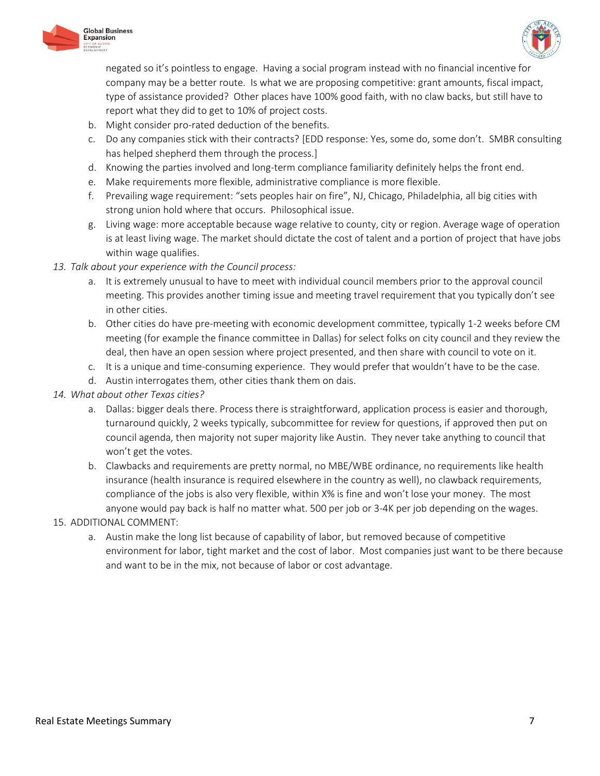



negated so it's pointless to engage. Having a social program instead with no financial incentive for company may be a better route. Is what we are proposing competitive: grant amounts, fiscal impact, type of assistance provided? Other places have 100% good faith, with no claw backs, but still have to report what they did to get to 10% of project costs.

- b. Might consider pro-rated deduction of the benefits.
- c. Do any companies stick with their contracts? [EDD response: Yes, some do, some don't. SMBR consulting has helped shepherd them through the process.]
- d. Knowing the parties involved and long-term compliance familiarity definitely helps the front end.
- e. Make requirements more flexible, administrative compliance is more flexible.
- f. Prevailing wage requirement: "sets peoples hair on fire", NJ, Chicago, Philadelphia, all big cities with strong union hold where that occurs. Philosophical issue.
- g. Living wage: more acceptable because wage relative to county, city or region. Average wage of operation is at least living wage. The market should dictate the cost of talent and a portion of project that have jobs within wage qualifies.
- *13. Talk about your experience with the Council process:*
	- a. It is extremely unusual to have to meet with individual council members prior to the approval council meeting. This provides another timing issue and meeting travel requirement that you typically don't see in other cities.
	- b. Other cities do have pre-meeting with economic development committee, typically 1-2 weeks before CM meeting (for example the finance committee in Dallas) for select folks on city council and they review the deal, then have an open session where project presented, and then share with council to vote on it.
	- c. It is a unique and time-consuming experience. They would prefer that wouldn't have to be the case.
	- d. Austin interrogates them, other cities thank them on dais.
- *14. What about other Texas cities?*
	- a. Dallas: bigger deals there. Process there is straightforward, application process is easier and thorough, turnaround quickly, 2 weeks typically, subcommittee for review for questions, if approved then put on council agenda, then majority not super majority like Austin. They never take anything to council that won't get the votes.
	- b. Clawbacks and requirements are pretty normal, no MBE/WBE ordinance, no requirements like health insurance (health insurance is required elsewhere in the country as well), no clawback requirements, compliance of the jobs is also very flexible, within X% is fine and won't lose your money. The most anyone would pay back is half no matter what. 500 per job or 3-4K per job depending on the wages.
- 15. ADDITIONAL COMMENT:
	- a. Austin make the long list because of capability of labor, but removed because of competitive environment for labor, tight market and the cost of labor. Most companies just want to be there because and want to be in the mix, not because of labor or cost advantage.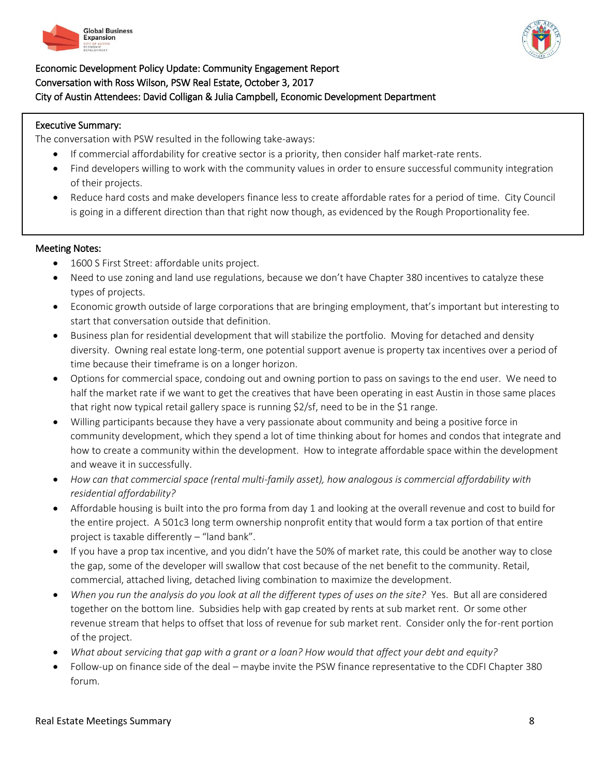



## Economic Development Policy Update: Community Engagement Report Conversation with Ross Wilson, PSW Real Estate, October 3, 2017 City of Austin Attendees: David Colligan & Julia Campbell, Economic Development Department

#### Executive Summary:

l

The conversation with PSW resulted in the following take-aways:

- If commercial affordability for creative sector is a priority, then consider half market-rate rents.
- Find developers willing to work with the community values in order to ensure successful community integration of their projects.
- Reduce hard costs and make developers finance less to create affordable rates for a period of time. City Council is going in a different direction than that right now though, as evidenced by the Rough Proportionality fee.

- 1600 S First Street: affordable units project.
- Need to use zoning and land use regulations, because we don't have Chapter 380 incentives to catalyze these types of projects.
- Economic growth outside of large corporations that are bringing employment, that's important but interesting to start that conversation outside that definition.
- Business plan for residential development that will stabilize the portfolio. Moving for detached and density diversity. Owning real estate long-term, one potential support avenue is property tax incentives over a period of time because their timeframe is on a longer horizon.
- Options for commercial space, condoing out and owning portion to pass on savings to the end user. We need to half the market rate if we want to get the creatives that have been operating in east Austin in those same places that right now typical retail gallery space is running \$2/sf, need to be in the \$1 range.
- Willing participants because they have a very passionate about community and being a positive force in community development, which they spend a lot of time thinking about for homes and condos that integrate and how to create a community within the development. How to integrate affordable space within the development and weave it in successfully.
- *How can that commercial space (rental multi-family asset), how analogous is commercial affordability with residential affordability?*
- Affordable housing is built into the pro forma from day 1 and looking at the overall revenue and cost to build for the entire project. A 501c3 long term ownership nonprofit entity that would form a tax portion of that entire project is taxable differently – "land bank".
- If you have a prop tax incentive, and you didn't have the 50% of market rate, this could be another way to close the gap, some of the developer will swallow that cost because of the net benefit to the community. Retail, commercial, attached living, detached living combination to maximize the development.
- *When you run the analysis do you look at all the different types of uses on the site?* Yes. But all are considered together on the bottom line. Subsidies help with gap created by rents at sub market rent. Or some other revenue stream that helps to offset that loss of revenue for sub market rent. Consider only the for-rent portion of the project.
- *What about servicing that gap with a grant or a loan? How would that affect your debt and equity?*
- Follow-up on finance side of the deal maybe invite the PSW finance representative to the CDFI Chapter 380 forum.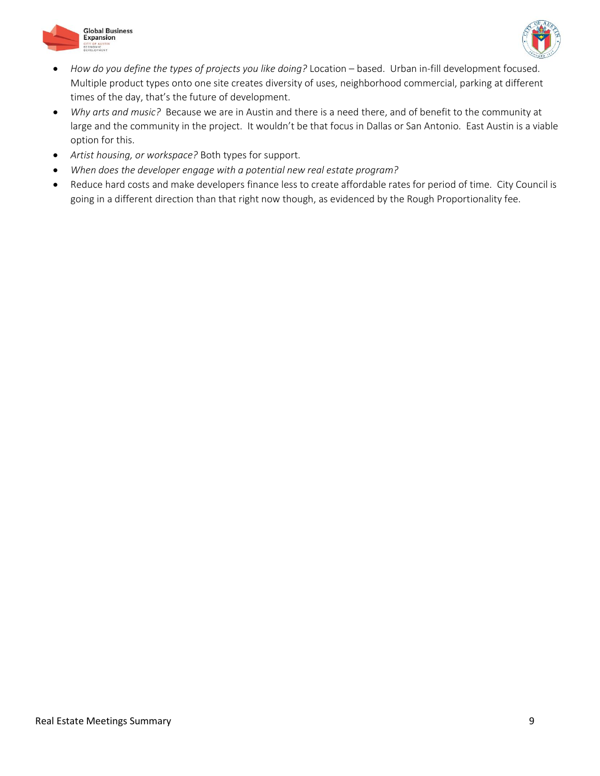



- *How do you define the types of projects you like doing?* Location based. Urban in-fill development focused. Multiple product types onto one site creates diversity of uses, neighborhood commercial, parking at different times of the day, that's the future of development.
- *Why arts and music?* Because we are in Austin and there is a need there, and of benefit to the community at large and the community in the project. It wouldn't be that focus in Dallas or San Antonio. East Austin is a viable option for this.
- *Artist housing, or workspace?* Both types for support.
- *When does the developer engage with a potential new real estate program?*
- Reduce hard costs and make developers finance less to create affordable rates for period of time. City Council is going in a different direction than that right now though, as evidenced by the Rough Proportionality fee.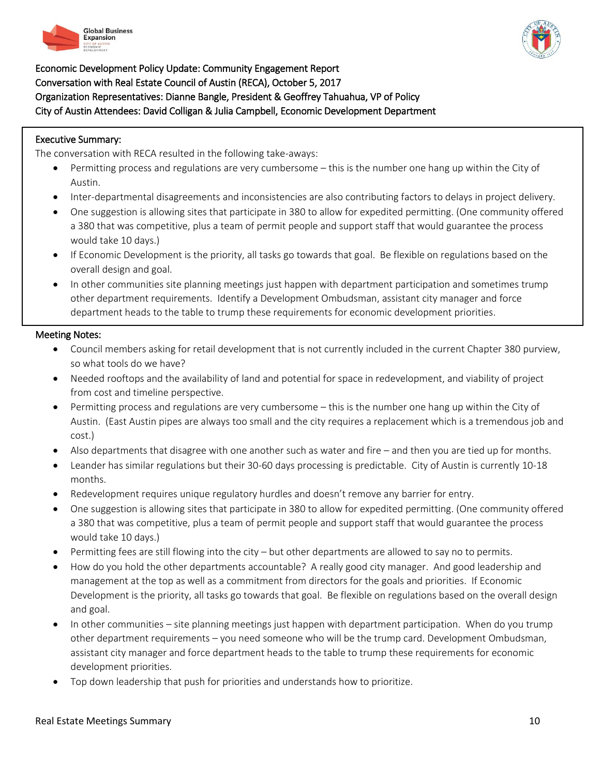



Economic Development Policy Update: Community Engagement Report Conversation with Real Estate Council of Austin (RECA), October 5, 2017 Organization Representatives: Dianne Bangle, President & Geoffrey Tahuahua, VP of Policy City of Austin Attendees: David Colligan & Julia Campbell, Economic Development Department

#### Executive Summary:

**.** 

The conversation with RECA resulted in the following take-aways:

- Permitting process and regulations are very cumbersome this is the number one hang up within the City of Austin.
- Inter-departmental disagreements and inconsistencies are also contributing factors to delays in project delivery.
- One suggestion is allowing sites that participate in 380 to allow for expedited permitting. (One community offered a 380 that was competitive, plus a team of permit people and support staff that would guarantee the process would take 10 days.)
- If Economic Development is the priority, all tasks go towards that goal. Be flexible on regulations based on the overall design and goal.
- In other communities site planning meetings just happen with department participation and sometimes trump other department requirements. Identify a Development Ombudsman, assistant city manager and force department heads to the table to trump these requirements for economic development priorities.

- Council members asking for retail development that is not currently included in the current Chapter 380 purview, so what tools do we have?
- Needed rooftops and the availability of land and potential for space in redevelopment, and viability of project from cost and timeline perspective.
- Permitting process and regulations are very cumbersome this is the number one hang up within the City of Austin. (East Austin pipes are always too small and the city requires a replacement which is a tremendous job and cost.)
- Also departments that disagree with one another such as water and fire and then you are tied up for months.
- Leander has similar regulations but their 30-60 days processing is predictable. City of Austin is currently 10-18 months.
- Redevelopment requires unique regulatory hurdles and doesn't remove any barrier for entry.
- One suggestion is allowing sites that participate in 380 to allow for expedited permitting. (One community offered a 380 that was competitive, plus a team of permit people and support staff that would guarantee the process would take 10 days.)
- Permitting fees are still flowing into the city but other departments are allowed to say no to permits.
- How do you hold the other departments accountable? A really good city manager. And good leadership and management at the top as well as a commitment from directors for the goals and priorities. If Economic Development is the priority, all tasks go towards that goal. Be flexible on regulations based on the overall design and goal.
- In other communities site planning meetings just happen with department participation. When do you trump other department requirements – you need someone who will be the trump card. Development Ombudsman, assistant city manager and force department heads to the table to trump these requirements for economic development priorities.
- Top down leadership that push for priorities and understands how to prioritize.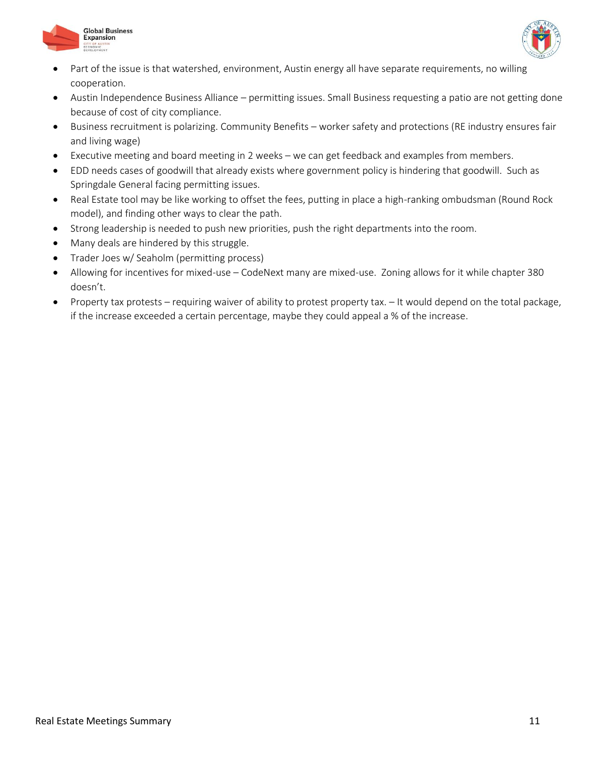



- Part of the issue is that watershed, environment, Austin energy all have separate requirements, no willing cooperation.
- Austin Independence Business Alliance permitting issues. Small Business requesting a patio are not getting done because of cost of city compliance.
- Business recruitment is polarizing. Community Benefits worker safety and protections (RE industry ensures fair and living wage)
- Executive meeting and board meeting in 2 weeks we can get feedback and examples from members.
- EDD needs cases of goodwill that already exists where government policy is hindering that goodwill. Such as Springdale General facing permitting issues.
- Real Estate tool may be like working to offset the fees, putting in place a high-ranking ombudsman (Round Rock model), and finding other ways to clear the path.
- Strong leadership is needed to push new priorities, push the right departments into the room.
- Many deals are hindered by this struggle.
- Trader Joes w/ Seaholm (permitting process)
- Allowing for incentives for mixed-use CodeNext many are mixed-use. Zoning allows for it while chapter 380 doesn't.
- Property tax protests requiring waiver of ability to protest property tax. It would depend on the total package, if the increase exceeded a certain percentage, maybe they could appeal a % of the increase.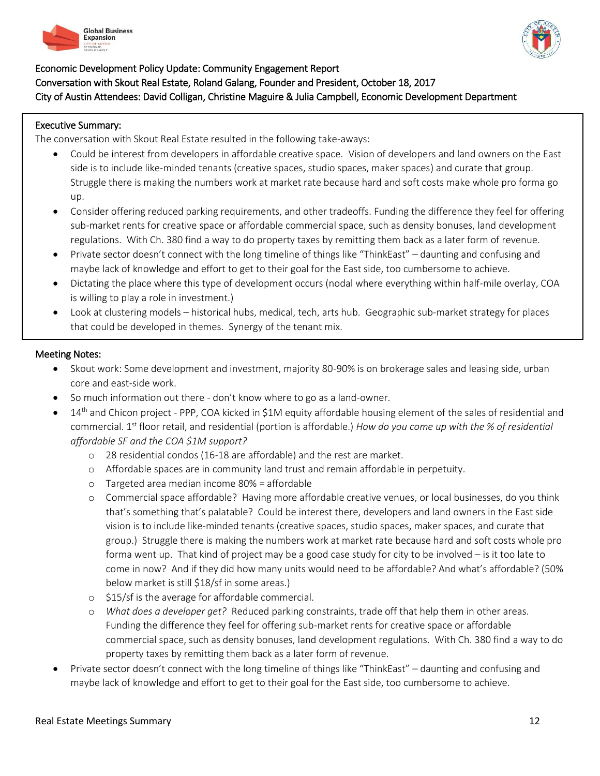



## Economic Development Policy Update: Community Engagement Report Conversation with Skout Real Estate, Roland Galang, Founder and President, October 18, 2017 City of Austin Attendees: David Colligan, Christine Maguire & Julia Campbell, Economic Development Department

#### Executive Summary:

<u>.</u>

The conversation with Skout Real Estate resulted in the following take-aways:

- Could be interest from developers in affordable creative space. Vision of developers and land owners on the East side is to include like-minded tenants (creative spaces, studio spaces, maker spaces) and curate that group. Struggle there is making the numbers work at market rate because hard and soft costs make whole pro forma go up.
- Consider offering reduced parking requirements, and other tradeoffs. Funding the difference they feel for offering sub-market rents for creative space or affordable commercial space, such as density bonuses, land development regulations. With Ch. 380 find a way to do property taxes by remitting them back as a later form of revenue.
- Private sector doesn't connect with the long timeline of things like "ThinkEast" daunting and confusing and maybe lack of knowledge and effort to get to their goal for the East side, too cumbersome to achieve.
- Dictating the place where this type of development occurs (nodal where everything within half-mile overlay, COA is willing to play a role in investment.)
- Look at clustering models historical hubs, medical, tech, arts hub. Geographic sub-market strategy for places that could be developed in themes. Synergy of the tenant mix.

- Skout work: Some development and investment, majority 80-90% is on brokerage sales and leasing side, urban core and east-side work.
- So much information out there don't know where to go as a land-owner.
- 14th and Chicon project PPP, COA kicked in \$1M equity affordable housing element of the sales of residential and commercial. 1st floor retail, and residential (portion is affordable.) *How do you come up with the % of residential affordable SF and the COA \$1M support?*
	- o 28 residential condos (16-18 are affordable) and the rest are market.
	- o Affordable spaces are in community land trust and remain affordable in perpetuity.
	- o Targeted area median income 80% = affordable
	- o Commercial space affordable? Having more affordable creative venues, or local businesses, do you think that's something that's palatable? Could be interest there, developers and land owners in the East side vision is to include like-minded tenants (creative spaces, studio spaces, maker spaces, and curate that group.) Struggle there is making the numbers work at market rate because hard and soft costs whole pro forma went up. That kind of project may be a good case study for city to be involved – is it too late to come in now? And if they did how many units would need to be affordable? And what's affordable? (50% below market is still \$18/sf in some areas.)
	- o \$15/sf is the average for affordable commercial.
	- o *What does a developer get?* Reduced parking constraints, trade off that help them in other areas. Funding the difference they feel for offering sub-market rents for creative space or affordable commercial space, such as density bonuses, land development regulations. With Ch. 380 find a way to do property taxes by remitting them back as a later form of revenue.
- Private sector doesn't connect with the long timeline of things like "ThinkEast" daunting and confusing and maybe lack of knowledge and effort to get to their goal for the East side, too cumbersome to achieve.